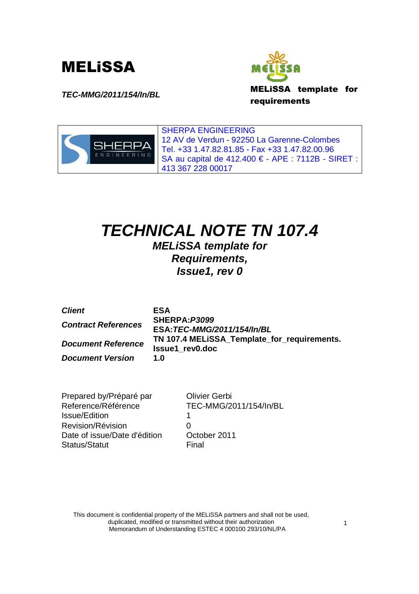





SHERPA ENGINEERING 12 AV de Verdun - 92250 La Garenne-Colombes Tel. +33 1.47.82.81.85 - Fax +33 1.47.82.00.96 SA au capital de 412.400 € - APE : 7112B - SIRET : 413 367 228 00017

# **TECHNICAL NOTE TN 107.4**

**MELiSSA template for Requirements, Issue1, rev 0**

| <b>Client</b>              | <b>ESA</b>                                                            |
|----------------------------|-----------------------------------------------------------------------|
| <b>Contract References</b> | SHERPA: P3099                                                         |
|                            | ESA: TEC-MMG/2011/154/In/BL                                           |
| <b>Document Reference</b>  | TN 107.4 MELISSA_Template_for_requirements.<br><b>Issue1</b> rev0.doc |
| <b>Document Version</b>    | 1.O                                                                   |

Prepared by/Préparé par Olivier Gerbi Reference/Référence TEC-MMG/2011/154/In/BL Issue/Edition 1 Revision/Révision 0 Date of issue/Date d'édition October 2011 Status/Statut Final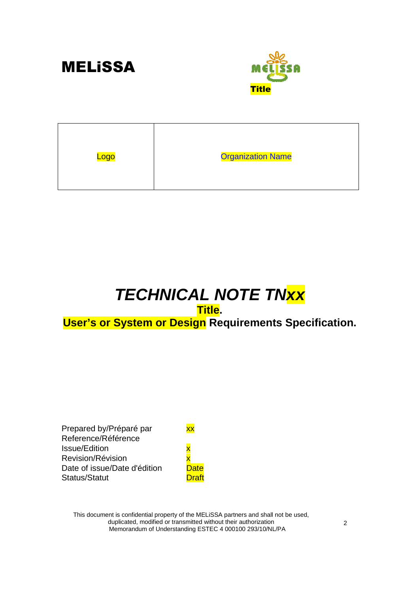



| Logo | <b>Organization Name</b> |
|------|--------------------------|
|      |                          |

# **TECHNICAL NOTE TNxx**

## **Title. User's or System or Design Requirements Specification.**

Prepared by/Préparé par **xx** Reference/Référence Issue/Edition **x** Revision/Révision x Date of issue/Date d'édition Date Status/Statut Draft

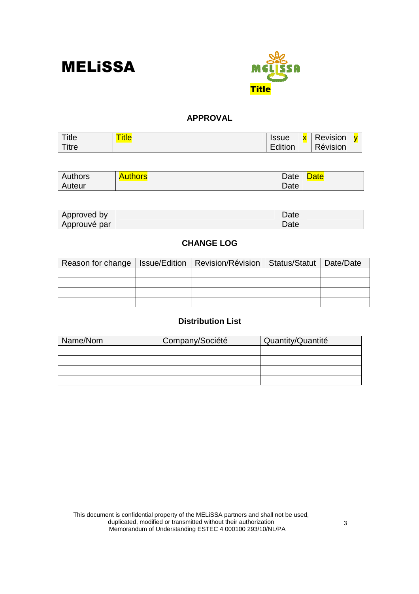



#### **APPROVAL**

| Title | --<br><u>l itle</u> | <b>Issue</b> | $\mathbf v$ | −<br><b>Revision</b> |  |
|-------|---------------------|--------------|-------------|----------------------|--|
| Titre |                     | :dition      |             | Révision             |  |

| Authors | <b>Authors</b> | Date | <b>Date</b> |
|---------|----------------|------|-------------|
| Auteur  |                | Date |             |

| Approved by  | Date |  |
|--------------|------|--|
| Approuvé par | Date |  |

#### **CHANGE LOG**

| Reason for change   Issue/Edition   Revision/Révision   Status/Statut   Date/Date |  |  |
|-----------------------------------------------------------------------------------|--|--|
|                                                                                   |  |  |
|                                                                                   |  |  |
|                                                                                   |  |  |
|                                                                                   |  |  |

#### **Distribution List**

| Name/Nom | Company/Société | Quantity/Quantité |
|----------|-----------------|-------------------|
|          |                 |                   |
|          |                 |                   |
|          |                 |                   |
|          |                 |                   |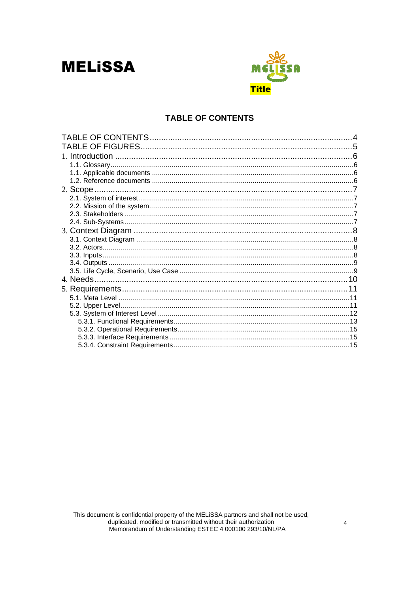

#### **TABLE OF CONTENTS**

| 1. Introduction |  |
|-----------------|--|
|                 |  |
|                 |  |
|                 |  |
|                 |  |
|                 |  |
|                 |  |
|                 |  |
|                 |  |
|                 |  |
|                 |  |
|                 |  |
|                 |  |
|                 |  |
|                 |  |
|                 |  |
|                 |  |
|                 |  |
|                 |  |
|                 |  |
|                 |  |
|                 |  |
|                 |  |
|                 |  |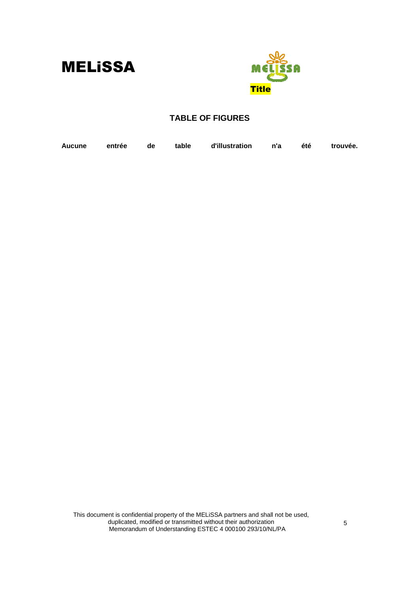

#### **TABLE OF FIGURES**

| Aucune entrée de table d'illustration n'a été trouvée. |  |  |  |
|--------------------------------------------------------|--|--|--|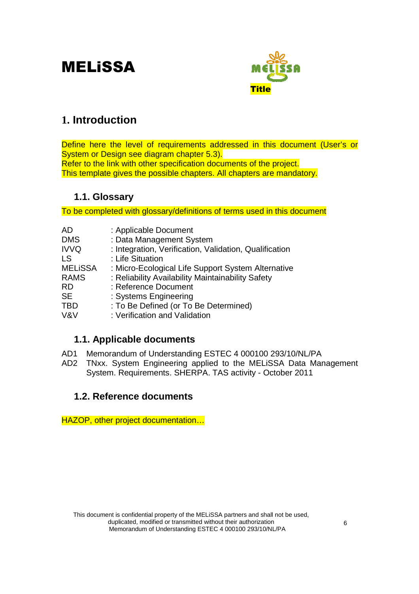

## **1. Introduction**

Define here the level of requirements addressed in this document (User's or System or Design see diagram chapter 5.3). Refer to the link with other specification documents of the project. This template gives the possible chapters. All chapters are mandatory.

### **1.1. Glossary**

To be completed with glossary/definitions of terms used in this document

| AD             | : Applicable Document                                  |
|----------------|--------------------------------------------------------|
| <b>DMS</b>     | : Data Management System                               |
| <b>IVVQ</b>    | : Integration, Verification, Validation, Qualification |
| LS             | : Life Situation                                       |
| <b>MELISSA</b> | : Micro-Ecological Life Support System Alternative     |
| <b>RAMS</b>    | : Reliability Availability Maintainability Safety      |
| RD             | : Reference Document                                   |
| <b>SE</b>      | : Systems Engineering                                  |
| TBD            | : To Be Defined (or To Be Determined)                  |
| V&V            | : Verification and Validation                          |

### **1.1. Applicable documents**

- AD1 Memorandum of Understanding ESTEC 4 000100 293/10/NL/PA
- AD2 TNxx. System Engineering applied to the MELiSSA Data Management System. Requirements. SHERPA. TAS activity - October 2011

### **1.2. Reference documents**

HAZOP, other project documentation…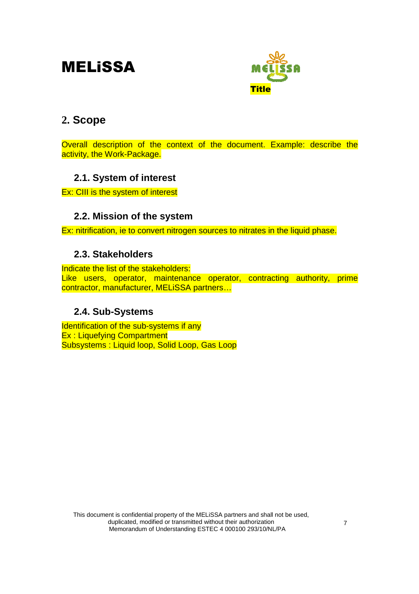

## **2. Scope**

Overall description of the context of the document. Example: describe the activity, the Work-Package.

### **2.1. System of interest**

Ex: CIII is the system of interest

### **2.2. Mission of the system**

Ex: nitrification, ie to convert nitrogen sources to nitrates in the liquid phase.

### **2.3. Stakeholders**

Indicate the list of the stakeholders: Like users, operator, maintenance operator, contracting authority, prime contractor, manufacturer, MELiSSA partners…

### **2.4. Sub-Systems**

Identification of the sub-systems if any Ex : Liquefying Compartment Subsystems : Liquid loop, Solid Loop, Gas Loop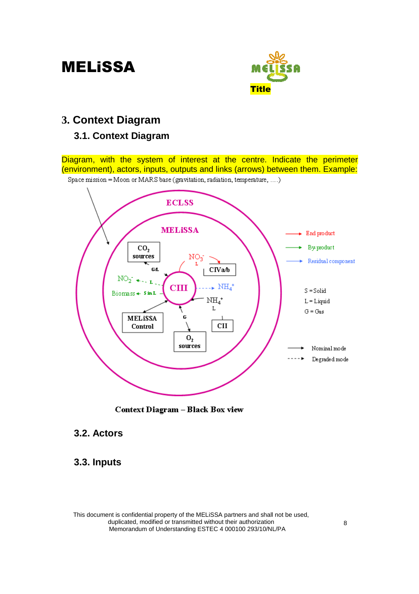

## **3. Context Diagram**

### **3.1. Context Diagram**

Diagram, with the system of interest at the centre. Indicate the perimeter (environment), actors, inputs, outputs and links (arrows) between them. Example:





Context Diagram - Black Box view

### **3.2. Actors**

### **3.3. Inputs**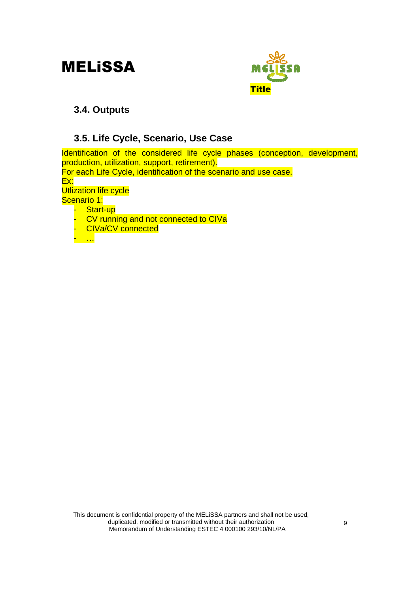

### **3.4. Outputs**

### **3.5. Life Cycle, Scenario, Use Case**

Identification of the considered life cycle phases (conception, development, production, utilization, support, retirement).

For each Life Cycle, identification of the scenario and use case.

Ex:

**Utlization life cycle** 

Scenario 1:

- Start-up
- CV running and not connected to CIVa
- **CIVa/CV connected**

- …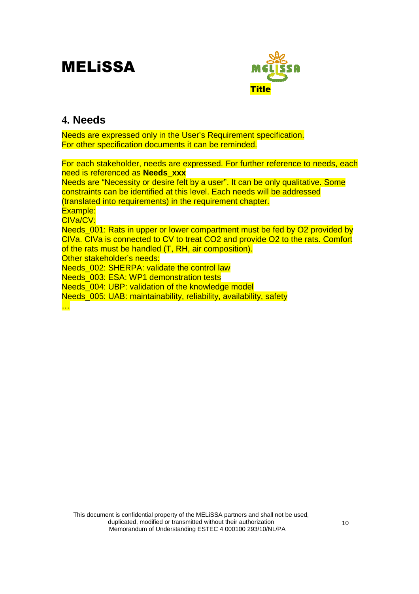

## **4. Needs**

Needs are expressed only in the User's Requirement specification. For other specification documents it can be reminded.

For each stakeholder, needs are expressed. For further reference to needs, each need is referenced as **Needs\_xxx** Needs are "Necessity or desire felt by a user". It can be only qualitative. Some constraints can be identified at this level. Each needs will be addressed (translated into requirements) in the requirement chapter. Example: CIVa/CV: Needs, 001: Rats in upper or lower compartment must be fed by O2 provided by CIVa. CIVa is connected to CV to treat CO2 and provide O2 to the rats. Comfort of the rats must be handled (T, RH, air composition). Other stakeholder's needs: Needs, 002: SHERPA: validate the control law Needs 003: ESA: WP1 demonstration tests Needs 004: UBP: validation of the knowledge model Needs\_005: UAB: maintainability, reliability, availability, safety …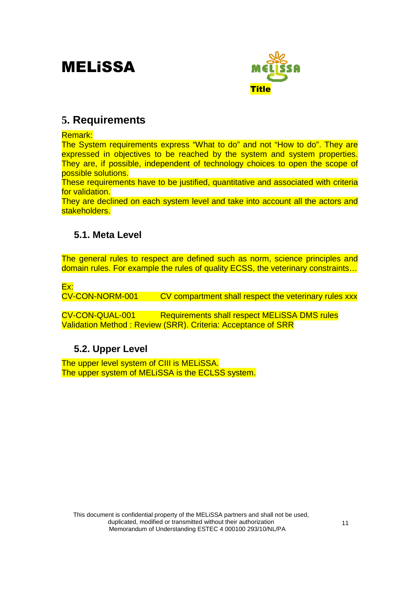

## **5. Requirements**

Remark:

The System requirements express "What to do" and not "How to do". They are expressed in objectives to be reached by the system and system properties. They are, if possible, independent of technology choices to open the scope of possible solutions.

These requirements have to be justified, quantitative and associated with criteria for validation.

They are declined on each system level and take into account all the actors and stakeholders.

### **5.1. Meta Level**

The general rules to respect are defined such as norm, science principles and domain rules. For example the rules of quality ECSS, the veterinary constraints…

Ex:

CV-CON-NORM-001 CV compartment shall respect the veterinary rules xxx

CV-CON-QUAL-001 Requirements shall respect MELiSSA DMS rules Validation Method : Review (SRR). Criteria: Acceptance of SRR

### **5.2. Upper Level**

The upper level system of CIII is MELISSA. The upper system of MELiSSA is the ECLSS system.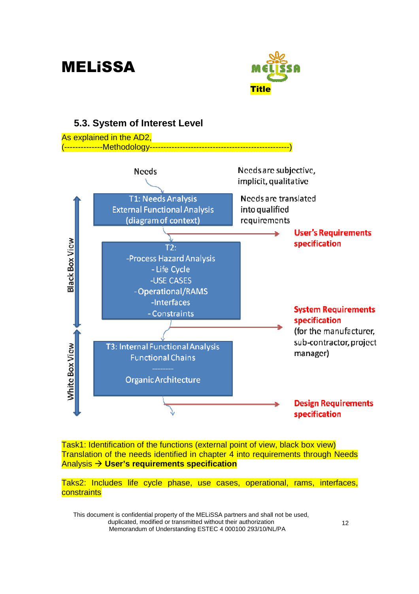



Task1: Identification of the functions (external point of view, black box view) Translation of the needs identified in chapter 4 into requirements through Needs Analysis **User's requirements specification**

Taks2: Includes life cycle phase, use cases, operational, rams, interfaces, **constraints**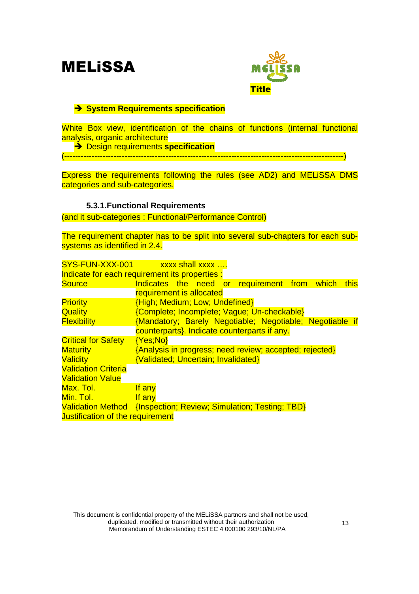

#### - **System Requirements specification**

White Box view, identification of the chains of functions (internal functional analysis, organic architecture

- Design requirements **specification**

(------------------------------------------------------------------------------------------------------)

Express the requirements following the rules (see AD2) and MELiSSA DMS categories and sub-categories.

#### **5.3.1.Functional Requirements**

(and it sub-categories : Functional/Performance Control)

The requirement chapter has to be split into several sub-chapters for each subsystems as identified in 2.4.

| SYS-FUN-XXX-001 xxxx shall xxxx                                  |                                                          |  |  |  |       |      |
|------------------------------------------------------------------|----------------------------------------------------------|--|--|--|-------|------|
| Indicate for each requirement its properties :                   |                                                          |  |  |  |       |      |
| <b>Source</b>                                                    | Indicates the need or requirement from                   |  |  |  | which | this |
|                                                                  | requirement is allocated                                 |  |  |  |       |      |
| <b>Priority</b>                                                  | {High; Medium; Low; Undefined}                           |  |  |  |       |      |
| Quality                                                          | {Complete; Incomplete; Vague; Un-checkable}              |  |  |  |       |      |
| <b>Flexibility</b>                                               | {Mandatory; Barely Negotiable; Negotiable; Negotiable if |  |  |  |       |      |
|                                                                  | counterparts}. Indicate counterparts if any.             |  |  |  |       |      |
| <b>Critical for Safety</b>                                       | ${Yes;No}$                                               |  |  |  |       |      |
| <b>Maturity</b>                                                  | {Analysis in progress; need review; accepted; rejected}  |  |  |  |       |      |
| Validity                                                         | <b>{Validated; Uncertain; Invalidated}</b>               |  |  |  |       |      |
| <b>Validation Criteria</b>                                       |                                                          |  |  |  |       |      |
| <b>Validation Value</b>                                          |                                                          |  |  |  |       |      |
| Max. Tol.                                                        | If any                                                   |  |  |  |       |      |
| Min. Tol.                                                        | If any                                                   |  |  |  |       |      |
| Validation Method {Inspection; Review; Simulation; Testing; TBD} |                                                          |  |  |  |       |      |
| Justification of the requirement                                 |                                                          |  |  |  |       |      |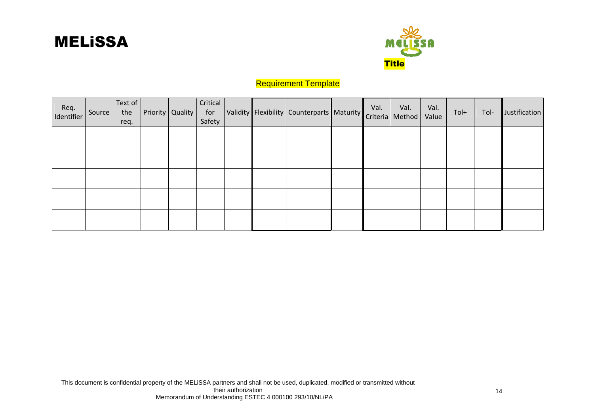



#### Requirement Template

| Req.<br>Identifier | Source | Text of<br>the<br>req. | Priority   Quality | Critical<br>for<br>Safety |  | Validity Flexibility Counterparts Maturity Criteria Method |  | Val.<br>Value | Tol+ | Tol- | Justification |
|--------------------|--------|------------------------|--------------------|---------------------------|--|------------------------------------------------------------|--|---------------|------|------|---------------|
|                    |        |                        |                    |                           |  |                                                            |  |               |      |      |               |
|                    |        |                        |                    |                           |  |                                                            |  |               |      |      |               |
|                    |        |                        |                    |                           |  |                                                            |  |               |      |      |               |
|                    |        |                        |                    |                           |  |                                                            |  |               |      |      |               |
|                    |        |                        |                    |                           |  |                                                            |  |               |      |      |               |